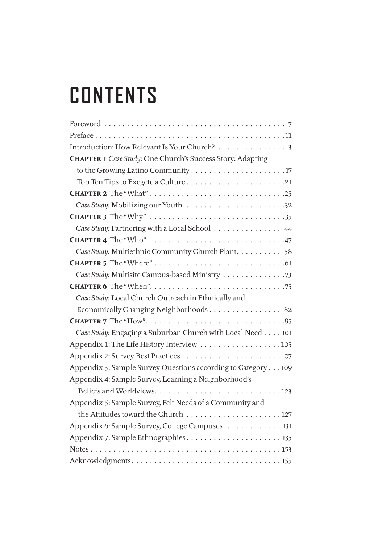# **Contents**

| <b>CHAPTER 1</b> Case Study: One Church's Success Story: Adapting |
|-------------------------------------------------------------------|
|                                                                   |
| Top Ten Tips to Exegete a Culture21                               |
|                                                                   |
|                                                                   |
|                                                                   |
| Case Study: Partnering with a Local School  44                    |
|                                                                   |
| Case Study: Multiethnic Community Church Plant. 58                |
|                                                                   |
| Case Study: Multisite Campus-based Ministry 73                    |
|                                                                   |
| Case Study: Local Church Outreach in Ethnically and               |
| Economically Changing Neighborhoods 82                            |
|                                                                   |
| Case Study: Engaging a Suburban Church with Local Need 101        |
| Appendix 1: The Life History Interview 105                        |
|                                                                   |
| Appendix 3: Sample Survey Questions according to Category 109     |
| Appendix 4: Sample Survey, Learning a Neighborhood's              |
|                                                                   |
| Appendix 5: Sample Survey, Felt Needs of a Community and          |
|                                                                   |
| Appendix 6: Sample Survey, College Campuses. 131                  |
|                                                                   |
|                                                                   |
|                                                                   |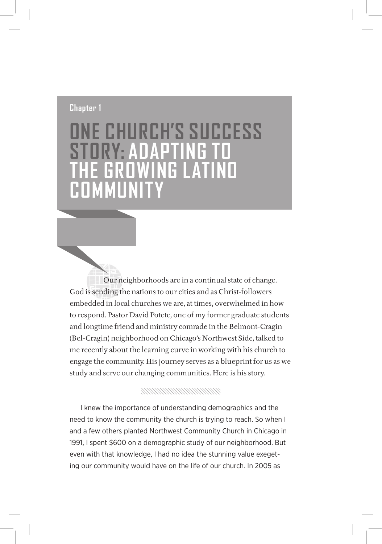#### **Chapter 1**

**oNe ChurCh's suCCess storY: adaptiNg to the growiNg latiNo CoMMuNitY**

 Our neighborhoods are in a continual state of change. God is sending the nations to our cities and as Christ-followers embedded in local churches we are, at times, overwhelmed in how to respond. Pastor David Potete, one of my former graduate students and longtime friend and ministry comrade in the Belmont-Cragin (Bel-Cragin) neighborhood on Chicago's Northwest Side, talked to me recently about the learning curve in working with his church to engage the community. His journey serves as a blueprint for us as we study and serve our changing communities. Here is his story.

I knew the importance of understanding demographics and the need to know the community the church is trying to reach. So when I and a few others planted Northwest Community Church in Chicago in 1991, I spent \$600 on a demographic study of our neighborhood. But even with that knowledge, I had no idea the stunning value exegeting our community would have on the life of our church. In 2005 as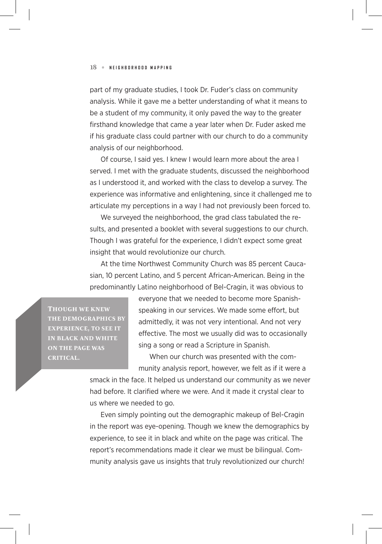#### 18 • **Neighborhood Mappi n g**

part of my graduate studies, I took Dr. Fuder's class on community analysis. While it gave me a better understanding of what it means to be a student of my community, it only paved the way to the greater firsthand knowledge that came a year later when Dr. Fuder asked me if his graduate class could partner with our church to do a community analysis of our neighborhood.

Of course, I said yes. I knew I would learn more about the area I served. I met with the graduate students, discussed the neighborhood as I understood it, and worked with the class to develop a survey. The experience was informative and enlightening, since it challenged me to articulate my perceptions in a way I had not previously been forced to.

We surveyed the neighborhood, the grad class tabulated the results, and presented a booklet with several suggestions to our church. Though I was grateful for the experience, I didn't expect some great insight that would revolutionize our church.

At the time Northwest Community Church was 85 percent Caucasian, 10 percent Latino, and 5 percent African-American. Being in the predominantly Latino neighborhood of Bel-Cragin, it was obvious to

**Though we knew the demographics by experience, to see it in black and white on the page was critical.**

everyone that we needed to become more Spanishspeaking in our services. We made some effort, but admittedly, it was not very intentional. And not very effective. The most we usually did was to occasionally sing a song or read a Scripture in Spanish.

When our church was presented with the community analysis report, however, we felt as if it were a

smack in the face. It helped us understand our community as we never had before. It clarified where we were. And it made it crystal clear to us where we needed to go.

Even simply pointing out the demographic makeup of Bel-Cragin in the report was eye-opening. Though we knew the demographics by experience, to see it in black and white on the page was critical. The report's recommendations made it clear we must be bilingual. Community analysis gave us insights that truly revolutionized our church!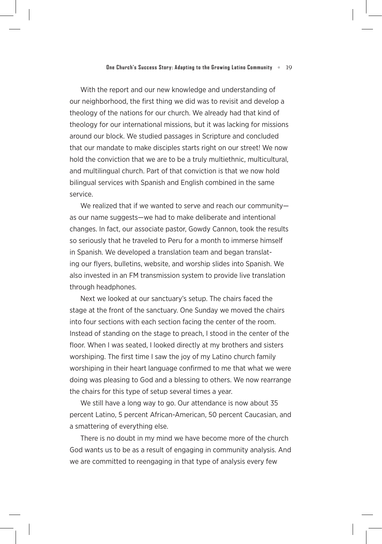With the report and our new knowledge and understanding of our neighborhood, the first thing we did was to revisit and develop a theology of the nations for our church. We already had that kind of theology for our international missions, but it was lacking for missions around our block. We studied passages in Scripture and concluded that our mandate to make disciples starts right on our street! We now hold the conviction that we are to be a truly multiethnic, multicultural, and multilingual church. Part of that conviction is that we now hold bilingual services with Spanish and English combined in the same service.

We realized that if we wanted to serve and reach our community as our name suggests—we had to make deliberate and intentional changes. In fact, our associate pastor, Gowdy Cannon, took the results so seriously that he traveled to Peru for a month to immerse himself in Spanish. We developed a translation team and began translating our flyers, bulletins, website, and worship slides into Spanish. We also invested in an FM transmission system to provide live translation through headphones.

Next we looked at our sanctuary's setup. The chairs faced the stage at the front of the sanctuary. One Sunday we moved the chairs into four sections with each section facing the center of the room. Instead of standing on the stage to preach, I stood in the center of the floor. When I was seated, I looked directly at my brothers and sisters worshiping. The first time I saw the joy of my Latino church family worshiping in their heart language confirmed to me that what we were doing was pleasing to God and a blessing to others. We now rearrange the chairs for this type of setup several times a year.

We still have a long way to go. Our attendance is now about 35 percent Latino, 5 percent African-American, 50 percent Caucasian, and a smattering of everything else.

There is no doubt in my mind we have become more of the church God wants us to be as a result of engaging in community analysis. And we are committed to reengaging in that type of analysis every few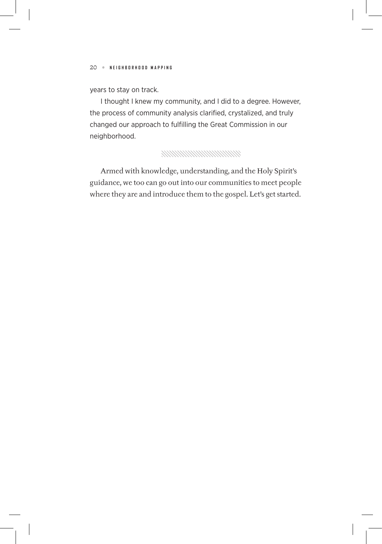#### 20 • **Neighborhood MappiNg**

years to stay on track.

I thought I knew my community, and I did to a degree. However, the process of community analysis clarified, crystalized, and truly changed our approach to fulfilling the Great Commission in our neighborhood.

#### 

Armed with knowledge, understanding, and the Holy Spirit's guidance, we too can go out into our communities to meet people where they are and introduce them to the gospel. Let's get started.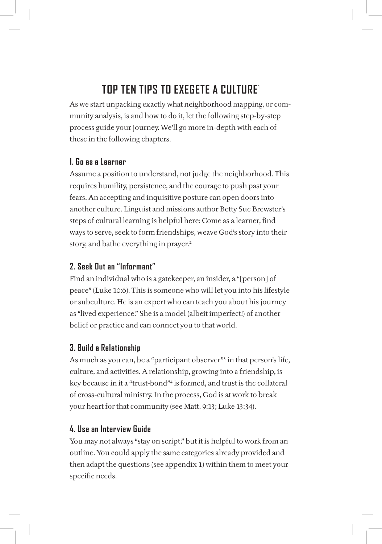## **Top Ten Tips to Exegete a Culture**<sup>1</sup>

As we start unpacking exactly what neighborhood mapping, or community analysis, is and how to do it, let the following step-by-step process guide your journey. We'll go more in-depth with each of these in the following chapters.

### **1. Go as a Learner**

Assume a position to understand, not judge the neighborhood. This requires humility, persistence, and the courage to push past your fears. An accepting and inquisitive posture can open doors into another culture. Linguist and missions author Betty Sue Brewster's steps of cultural learning is helpful here: Come as a learner, find ways to serve, seek to form friendships, weave God's story into their story, and bathe everything in prayer.2

## **2. Seek Out an "Informant"**

Find an individual who is a gatekeeper, an insider, a "[person] of peace" (Luke 10:6). This is someone who will let you into his lifestyle or subculture. He is an expert who can teach you about his journey as "lived experience." She is a model (albeit imperfect!) of another belief or practice and can connect you to that world.

### **3. Build a Relationship**

As much as you can, be a "participant observer"3 in that person's life, culture, and activities. A relationship, growing into a friendship, is key because in it a "trust-bond"4 is formed, and trust is the collateral of cross-cultural ministry. In the process, God is at work to break your heart for that community (see Matt. 9:13; Luke 13:34).

### **4. Use an Interview Guide**

You may not always "stay on script," but it is helpful to work from an outline. You could apply the same categories already provided and then adapt the questions (see appendix 1) within them to meet your specific needs.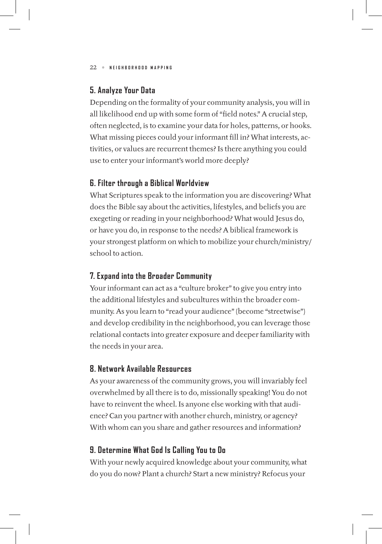### **5. Analyze Your Data**

Depending on the formality of your community analysis, you will in all likelihood end up with some form of "field notes." A crucial step, often neglected, is to examine your data for holes, patterns, or hooks. What missing pieces could your informant fill in? What interests, activities, or values are recurrent themes? Is there anything you could use to enter your informant's world more deeply?

### **6. Filter through a Biblical Worldview**

What Scriptures speak to the information you are discovering? What does the Bible say about the activities, lifestyles, and beliefs you are exegeting or reading in your neighborhood? What would Jesus do, or have you do, in response to the needs? A biblical framework is your strongest platform on which to mobilize your church/ministry/ school to action.

#### **7. Expand into the Broader Community**

Your informant can act as a "culture broker" to give you entry into the additional lifestyles and subcultures within the broader community. As you learn to "read your audience" (become "streetwise") and develop credibility in the neighborhood, you can leverage those relational contacts into greater exposure and deeper familiarity with the needs in your area.

### **8. Network Available Resources**

As your awareness of the community grows, you will invariably feel overwhelmed by all there is to do, missionally speaking! You do not have to reinvent the wheel. Is anyone else working with that audience? Can you partner with another church, ministry, or agency? With whom can you share and gather resources and information?

### **9. Determine What God Is Calling You to Do**

With your newly acquired knowledge about your community, what do you do now? Plant a church? Start a new ministry? Refocus your